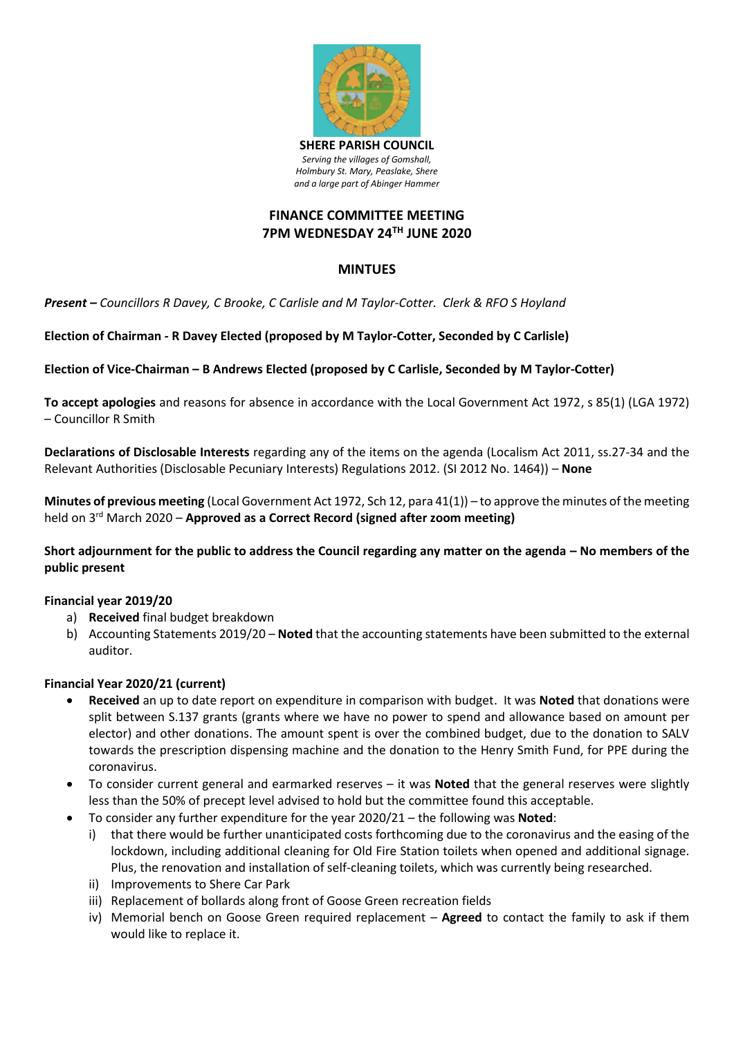

# **FINANCE COMMITTEE MEETING 7PM WEDNESDAY 24 TH JUNE 2020**

## **MINTUES**

*Present – Councillors R Davey, C Brooke, C Carlisle and M Taylor-Cotter. Clerk & RFO S Hoyland*

**Election of Chairman - R Davey Elected (proposed by M Taylor-Cotter, Seconded by C Carlisle)**

### **Election of Vice-Chairman – B Andrews Elected (proposed by C Carlisle, Seconded by M Taylor-Cotter)**

**To accept apologies** and reasons for absence in accordance with the Local Government Act 1972, s 85(1) (LGA 1972) – Councillor R Smith

**Declarations of Disclosable Interests** regarding any of the items on the agenda (Localism Act 2011, ss.27-34 and the Relevant Authorities (Disclosable Pecuniary Interests) Regulations 2012. (SI 2012 No. 1464)) – **None** 

**Minutes of previous meeting** (Local Government Act 1972, Sch 12, para 41(1)) – to approve the minutes of the meeting held on 3 rd March 2020 – **Approved as a Correct Record (signed after zoom meeting)**

### **Short adjournment for the public to address the Council regarding any matter on the agenda – No members of the public present**

#### **Financial year 2019/20**

- a) **Received** final budget breakdown
- b) Accounting Statements 2019/20 **Noted** that the accounting statements have been submitted to the external auditor.

### **Financial Year 2020/21 (current)**

- **Received** an up to date report on expenditure in comparison with budget. It was **Noted** that donations were split between S.137 grants (grants where we have no power to spend and allowance based on amount per elector) and other donations. The amount spent is over the combined budget, due to the donation to SALV towards the prescription dispensing machine and the donation to the Henry Smith Fund, for PPE during the coronavirus.
- To consider current general and earmarked reserves it was **Noted** that the general reserves were slightly less than the 50% of precept level advised to hold but the committee found this acceptable.
- To consider any further expenditure for the year 2020/21 the following was **Noted**:
	- i) that there would be further unanticipated costs forthcoming due to the coronavirus and the easing of the lockdown, including additional cleaning for Old Fire Station toilets when opened and additional signage. Plus, the renovation and installation of self-cleaning toilets, which was currently being researched.
	- ii) Improvements to Shere Car Park
	- iii) Replacement of bollards along front of Goose Green recreation fields
	- iv) Memorial bench on Goose Green required replacement **Agreed** to contact the family to ask if them would like to replace it.